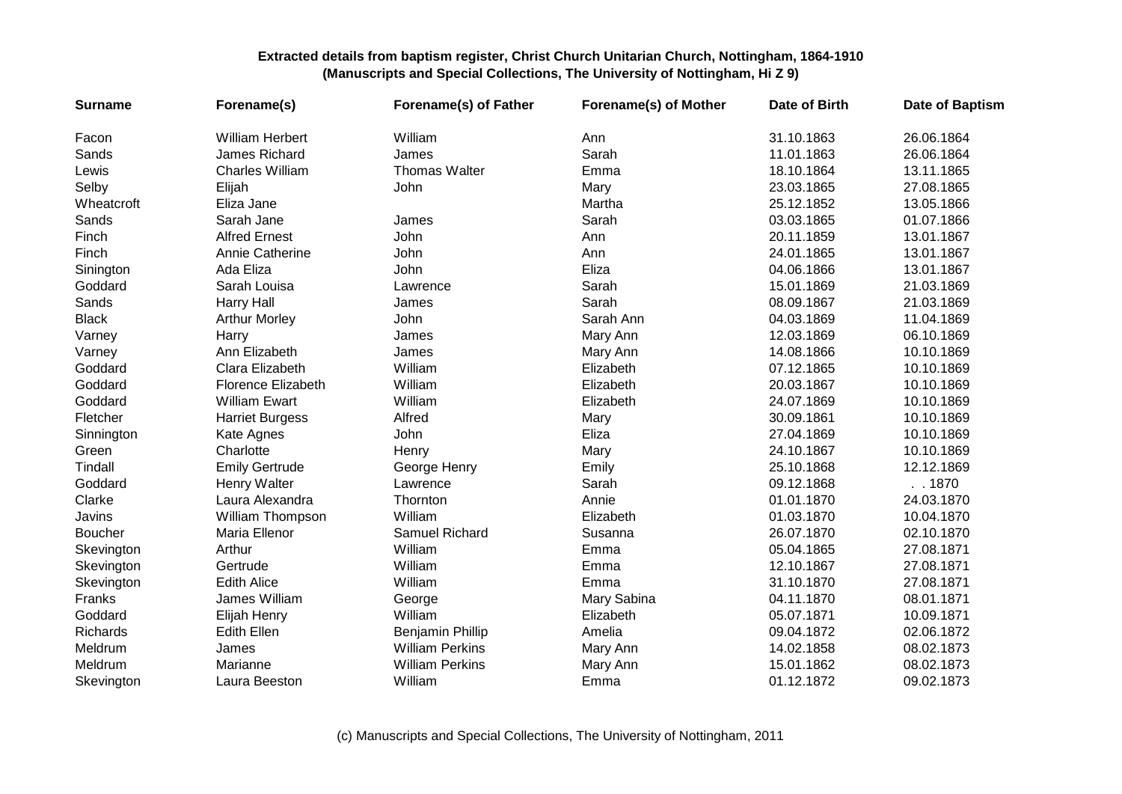| <b>Surname</b> | Forename(s)               | Forename(s) of Father  | Forename(s) of Mother | Date of Birth | <b>Date of Baptism</b> |
|----------------|---------------------------|------------------------|-----------------------|---------------|------------------------|
| Facon          | <b>William Herbert</b>    | William                | Ann                   | 31.10.1863    | 26.06.1864             |
| Sands          | James Richard             | James                  | Sarah                 | 11.01.1863    | 26.06.1864             |
| Lewis          | <b>Charles William</b>    | <b>Thomas Walter</b>   | Emma                  | 18.10.1864    | 13.11.1865             |
| Selby          | Elijah                    | John                   | Mary                  | 23.03.1865    | 27.08.1865             |
| Wheatcroft     | Eliza Jane                |                        | Martha                | 25.12.1852    | 13.05.1866             |
| Sands          | Sarah Jane                | James                  | Sarah                 | 03.03.1865    | 01.07.1866             |
| Finch          | <b>Alfred Ernest</b>      | John                   | Ann                   | 20.11.1859    | 13.01.1867             |
| Finch          | Annie Catherine           | John                   | Ann                   | 24.01.1865    | 13.01.1867             |
| Sinington      | Ada Eliza                 | John                   | Eliza                 | 04.06.1866    | 13.01.1867             |
| Goddard        | Sarah Louisa              | Lawrence               | Sarah                 | 15.01.1869    | 21.03.1869             |
| Sands          | <b>Harry Hall</b>         | James                  | Sarah                 | 08.09.1867    | 21.03.1869             |
| <b>Black</b>   | <b>Arthur Morley</b>      | John                   | Sarah Ann             | 04.03.1869    | 11.04.1869             |
| Varney         | Harry                     | James                  | Mary Ann              | 12.03.1869    | 06.10.1869             |
| Varney         | Ann Elizabeth             | James                  | Mary Ann              | 14.08.1866    | 10.10.1869             |
| Goddard        | Clara Elizabeth           | William                | Elizabeth             | 07.12.1865    | 10.10.1869             |
| Goddard        | <b>Florence Elizabeth</b> | William                | Elizabeth             | 20.03.1867    | 10.10.1869             |
| Goddard        | <b>William Ewart</b>      | William                | Elizabeth             | 24.07.1869    | 10.10.1869             |
| Fletcher       | <b>Harriet Burgess</b>    | Alfred                 | Mary                  | 30.09.1861    | 10.10.1869             |
| Sinnington     | Kate Agnes                | John                   | Eliza                 | 27.04.1869    | 10.10.1869             |
| Green          | Charlotte                 | Henry                  | Mary                  | 24.10.1867    | 10.10.1869             |
| Tindall        | <b>Emily Gertrude</b>     | George Henry           | Emily                 | 25.10.1868    | 12.12.1869             |
| Goddard        | Henry Walter              | Lawrence               | Sarah                 | 09.12.1868    | . .1870                |
| Clarke         | Laura Alexandra           | Thornton               | Annie                 | 01.01.1870    | 24.03.1870             |
| Javins         | William Thompson          | William                | Elizabeth             | 01.03.1870    | 10.04.1870             |
| Boucher        | Maria Ellenor             | Samuel Richard         | Susanna               | 26.07.1870    | 02.10.1870             |
| Skevington     | Arthur                    | William                | Emma                  | 05.04.1865    | 27.08.1871             |
| Skevington     | Gertrude                  | William                | Emma                  | 12.10.1867    | 27.08.1871             |
| Skevington     | <b>Edith Alice</b>        | William                | Emma                  | 31.10.1870    | 27.08.1871             |
| Franks         | James William             | George                 | Mary Sabina           | 04.11.1870    | 08.01.1871             |
| Goddard        | Elijah Henry              | William                | Elizabeth             | 05.07.1871    | 10.09.1871             |
| Richards       | <b>Edith Ellen</b>        | Benjamin Phillip       | Amelia                | 09.04.1872    | 02.06.1872             |
| Meldrum        | James                     | <b>William Perkins</b> | Mary Ann              | 14.02.1858    | 08.02.1873             |
| Meldrum        | Marianne                  | <b>William Perkins</b> | Mary Ann              | 15.01.1862    | 08.02.1873             |
| Skevington     | Laura Beeston             | William                | Emma                  | 01.12.1872    | 09.02.1873             |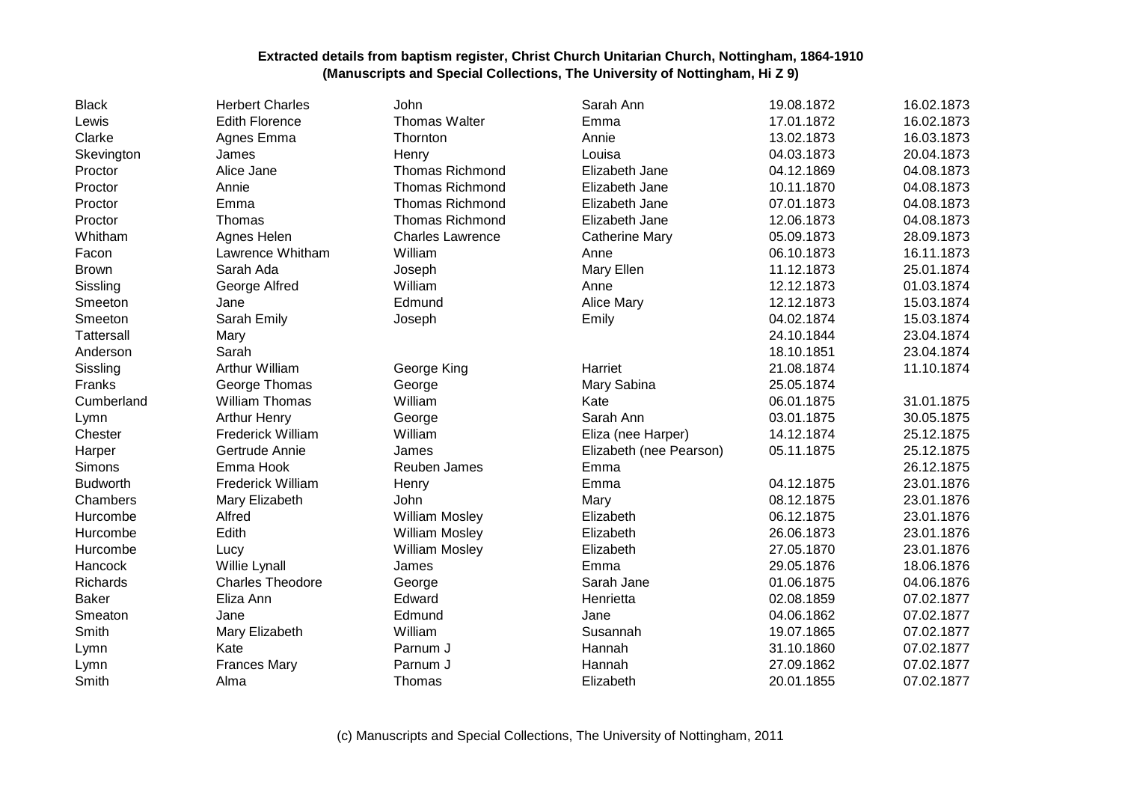| <b>Black</b>      | <b>Herbert Charles</b>   | John                    | Sarah Ann               | 19.08.1872 | 16.02.1873 |
|-------------------|--------------------------|-------------------------|-------------------------|------------|------------|
| Lewis             | <b>Edith Florence</b>    | <b>Thomas Walter</b>    | Emma                    | 17.01.1872 | 16.02.1873 |
| Clarke            | Agnes Emma               | Thornton                | Annie                   | 13.02.1873 | 16.03.1873 |
| Skevington        | James                    | Henry                   | Louisa                  | 04.03.1873 | 20.04.1873 |
| Proctor           | Alice Jane               | Thomas Richmond         | Elizabeth Jane          | 04.12.1869 | 04.08.1873 |
| Proctor           | Annie                    | <b>Thomas Richmond</b>  | Elizabeth Jane          | 10.11.1870 | 04.08.1873 |
| Proctor           | Emma                     | <b>Thomas Richmond</b>  | Elizabeth Jane          | 07.01.1873 | 04.08.1873 |
| Proctor           | Thomas                   | <b>Thomas Richmond</b>  | Elizabeth Jane          | 12.06.1873 | 04.08.1873 |
| Whitham           | Agnes Helen              | <b>Charles Lawrence</b> | <b>Catherine Mary</b>   | 05.09.1873 | 28.09.1873 |
| Facon             | Lawrence Whitham         | William                 | Anne                    | 06.10.1873 | 16.11.1873 |
| <b>Brown</b>      | Sarah Ada                | Joseph                  | Mary Ellen              | 11.12.1873 | 25.01.1874 |
| Sissling          | George Alfred            | William                 | Anne                    | 12.12.1873 | 01.03.1874 |
| Smeeton           | Jane                     | Edmund                  | <b>Alice Mary</b>       | 12.12.1873 | 15.03.1874 |
| Smeeton           | Sarah Emily              | Joseph                  | Emily                   | 04.02.1874 | 15.03.1874 |
| <b>Tattersall</b> | Mary                     |                         |                         | 24.10.1844 | 23.04.1874 |
| Anderson          | Sarah                    |                         |                         | 18.10.1851 | 23.04.1874 |
| Sissling          | Arthur William           | George King             | Harriet                 | 21.08.1874 | 11.10.1874 |
| Franks            | George Thomas            | George                  | Mary Sabina             | 25.05.1874 |            |
| Cumberland        | <b>William Thomas</b>    | William                 | Kate                    | 06.01.1875 | 31.01.1875 |
| Lymn              | <b>Arthur Henry</b>      | George                  | Sarah Ann               | 03.01.1875 | 30.05.1875 |
| Chester           | <b>Frederick William</b> | William                 | Eliza (nee Harper)      | 14.12.1874 | 25.12.1875 |
| Harper            | Gertrude Annie           | James                   | Elizabeth (nee Pearson) | 05.11.1875 | 25.12.1875 |
| Simons            | Emma Hook                | Reuben James            | Emma                    |            | 26.12.1875 |
| <b>Budworth</b>   | <b>Frederick William</b> | Henry                   | Emma                    | 04.12.1875 | 23.01.1876 |
| Chambers          | Mary Elizabeth           | John                    | Mary                    | 08.12.1875 | 23.01.1876 |
| Hurcombe          | Alfred                   | <b>William Mosley</b>   | Elizabeth               | 06.12.1875 | 23.01.1876 |
| Hurcombe          | Edith                    | <b>William Mosley</b>   | Elizabeth               | 26.06.1873 | 23.01.1876 |
| Hurcombe          | Lucy                     | William Mosley          | Elizabeth               | 27.05.1870 | 23.01.1876 |
| Hancock           | Willie Lynall            | James                   | Emma                    | 29.05.1876 | 18.06.1876 |
| Richards          | <b>Charles Theodore</b>  | George                  | Sarah Jane              | 01.06.1875 | 04.06.1876 |
| <b>Baker</b>      | Eliza Ann                | Edward                  | Henrietta               | 02.08.1859 | 07.02.1877 |
| Smeaton           | Jane                     | Edmund                  | Jane                    | 04.06.1862 | 07.02.1877 |
| Smith             | Mary Elizabeth           | William                 | Susannah                | 19.07.1865 | 07.02.1877 |
| Lymn              | Kate                     | Parnum J                | Hannah                  | 31.10.1860 | 07.02.1877 |
| Lymn              | <b>Frances Mary</b>      | Parnum J                | Hannah                  | 27.09.1862 | 07.02.1877 |
| Smith             | Alma                     | Thomas                  | Elizabeth               | 20.01.1855 | 07.02.1877 |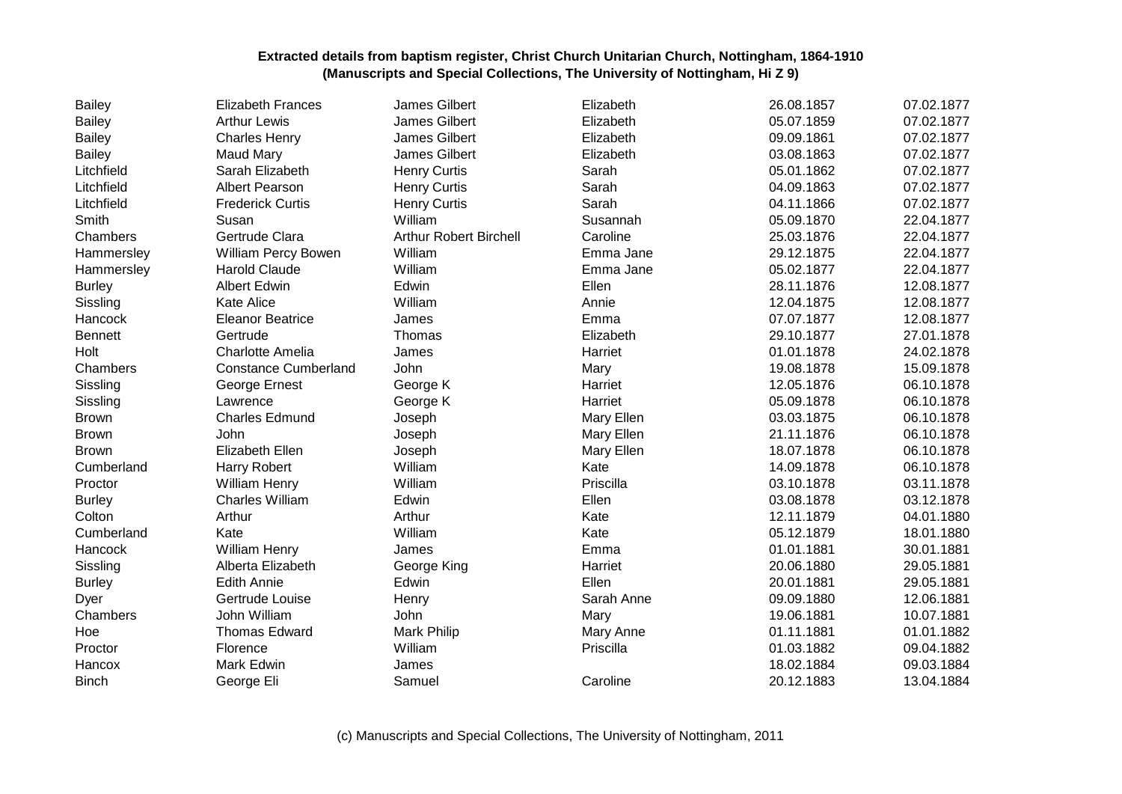| <b>Bailey</b>  | <b>Elizabeth Frances</b>    | James Gilbert                 | Elizabeth  | 26.08.1857 | 07.02.1877 |
|----------------|-----------------------------|-------------------------------|------------|------------|------------|
| <b>Bailey</b>  | <b>Arthur Lewis</b>         | James Gilbert                 | Elizabeth  | 05.07.1859 | 07.02.1877 |
| <b>Bailey</b>  | <b>Charles Henry</b>        | James Gilbert                 | Elizabeth  | 09.09.1861 | 07.02.1877 |
| <b>Bailey</b>  | <b>Maud Mary</b>            | James Gilbert                 | Elizabeth  | 03.08.1863 | 07.02.1877 |
| Litchfield     | Sarah Elizabeth             | <b>Henry Curtis</b>           | Sarah      | 05.01.1862 | 07.02.1877 |
| Litchfield     | <b>Albert Pearson</b>       | <b>Henry Curtis</b>           | Sarah      | 04.09.1863 | 07.02.1877 |
| Litchfield     | <b>Frederick Curtis</b>     | <b>Henry Curtis</b>           | Sarah      | 04.11.1866 | 07.02.1877 |
| Smith          | Susan                       | William                       | Susannah   | 05.09.1870 | 22.04.1877 |
| Chambers       | Gertrude Clara              | <b>Arthur Robert Birchell</b> | Caroline   | 25.03.1876 | 22.04.1877 |
| Hammersley     | William Percy Bowen         | William                       | Emma Jane  | 29.12.1875 | 22.04.1877 |
| Hammersley     | Harold Claude               | William                       | Emma Jane  | 05.02.1877 | 22.04.1877 |
| <b>Burley</b>  | <b>Albert Edwin</b>         | Edwin                         | Ellen      | 28.11.1876 | 12.08.1877 |
| Sissling       | <b>Kate Alice</b>           | William                       | Annie      | 12.04.1875 | 12.08.1877 |
| Hancock        | <b>Eleanor Beatrice</b>     | James                         | Emma       | 07.07.1877 | 12.08.1877 |
| <b>Bennett</b> | Gertrude                    | Thomas                        | Elizabeth  | 29.10.1877 | 27.01.1878 |
| Holt           | Charlotte Amelia            | James                         | Harriet    | 01.01.1878 | 24.02.1878 |
| Chambers       | <b>Constance Cumberland</b> | John                          | Mary       | 19.08.1878 | 15.09.1878 |
| Sissling       | George Ernest               | George K                      | Harriet    | 12.05.1876 | 06.10.1878 |
| Sissling       | Lawrence                    | George K                      | Harriet    | 05.09.1878 | 06.10.1878 |
| <b>Brown</b>   | <b>Charles Edmund</b>       | Joseph                        | Mary Ellen | 03.03.1875 | 06.10.1878 |
| <b>Brown</b>   | John                        | Joseph                        | Mary Ellen | 21.11.1876 | 06.10.1878 |
| <b>Brown</b>   | Elizabeth Ellen             | Joseph                        | Mary Ellen | 18.07.1878 | 06.10.1878 |
| Cumberland     | Harry Robert                | William                       | Kate       | 14.09.1878 | 06.10.1878 |
| Proctor        | William Henry               | William                       | Priscilla  | 03.10.1878 | 03.11.1878 |
| <b>Burley</b>  | <b>Charles William</b>      | Edwin                         | Ellen      | 03.08.1878 | 03.12.1878 |
| Colton         | Arthur                      | Arthur                        | Kate       | 12.11.1879 | 04.01.1880 |
| Cumberland     | Kate                        | William                       | Kate       | 05.12.1879 | 18.01.1880 |
| Hancock        | <b>William Henry</b>        | James                         | Emma       | 01.01.1881 | 30.01.1881 |
| Sissling       | Alberta Elizabeth           | George King                   | Harriet    | 20.06.1880 | 29.05.1881 |
| <b>Burley</b>  | <b>Edith Annie</b>          | Edwin                         | Ellen      | 20.01.1881 | 29.05.1881 |
| Dyer           | Gertrude Louise             | Henry                         | Sarah Anne | 09.09.1880 | 12.06.1881 |
| Chambers       | John William                | John                          | Mary       | 19.06.1881 | 10.07.1881 |
| Hoe            | <b>Thomas Edward</b>        | Mark Philip                   | Mary Anne  | 01.11.1881 | 01.01.1882 |
| Proctor        | Florence                    | William                       | Priscilla  | 01.03.1882 | 09.04.1882 |
| Hancox         | Mark Edwin                  | James                         |            | 18.02.1884 | 09.03.1884 |
| <b>Binch</b>   | George Eli                  | Samuel                        | Caroline   | 20.12.1883 | 13.04.1884 |